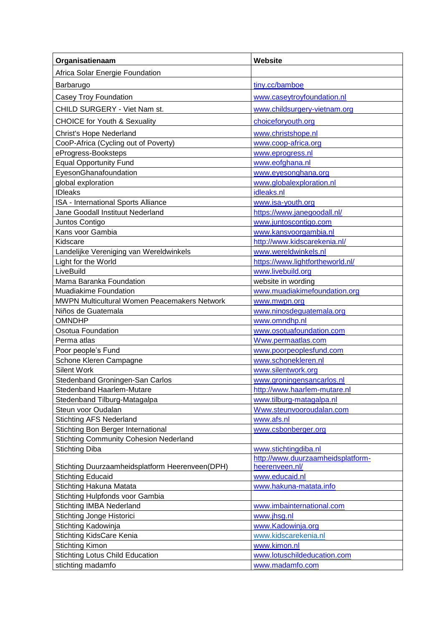| Organisatienaam                                                 | <b>Website</b>                                            |
|-----------------------------------------------------------------|-----------------------------------------------------------|
| Africa Solar Energie Foundation                                 |                                                           |
| Barbarugo                                                       | tiny.cc/bamboe                                            |
| <b>Casey Troy Foundation</b>                                    | www.caseytroyfoundation.nl                                |
| CHILD SURGERY - Viet Nam st.                                    | www.childsurgery-vietnam.org                              |
| <b>CHOICE for Youth &amp; Sexuality</b>                         | choiceforyouth.org                                        |
|                                                                 |                                                           |
| Christ's Hope Nederland<br>CooP-Africa (Cycling out of Poverty) | www.christshope.nl<br>www.coop-africa.org                 |
| eProgress-Booksteps                                             | www.eprogress.nl                                          |
| <b>Equal Opportunity Fund</b>                                   | www.eofghana.nl                                           |
| EyesonGhanafoundation                                           | www.eyesonghana.org                                       |
| global exploration                                              | www.globalexploration.nl                                  |
| <b>IDleaks</b>                                                  | idleaks.nl                                                |
| ISA - International Sports Alliance                             | www.isa-youth.org                                         |
| Jane Goodall Instituut Nederland                                | https://www.janegoodall.nl/                               |
| Juntos Contigo                                                  | www.juntoscontigo.com                                     |
| Kans voor Gambia                                                | www.kansvoorgambia.nl                                     |
| Kidscare                                                        | http://www.kidscarekenia.nl/                              |
| Landelijke Vereniging van Wereldwinkels                         | www.wereldwinkels.nl                                      |
| Light for the World                                             | https://www.lightfortheworld.nl/                          |
| LiveBuild                                                       | www.livebuild.org                                         |
| Mama Baranka Foundation                                         | website in wording                                        |
| <b>Muadiakime Foundation</b>                                    | www.muadiakimefoundation.org                              |
| MWPN Multicultural Women Peacemakers Network                    | www.mwpn.org                                              |
| Niños de Guatemala                                              | www.ninosdeguatemala.org                                  |
| <b>OMNDHP</b>                                                   | www.omndhp.nl                                             |
| Osotua Foundation                                               | www.osotuafoundation.com                                  |
| Perma atlas                                                     | Www.permaatlas.com                                        |
| Poor people's Fund                                              | www.poorpeoplesfund.com                                   |
| Schone Kleren Campagne                                          | www.schonekleren.nl                                       |
| <b>Silent Work</b>                                              | www.silentwork.org                                        |
| Stedenband Groningen-San Carlos                                 | www.groningensancarlos.nl                                 |
| Stedenband Haarlem-Mutare                                       | http://www.haarlem-mutare.nl                              |
| Stedenband Tilburg-Matagalpa                                    | www.tilburg-matagalpa.nl                                  |
| Steun voor Oudalan                                              | Www.steunvooroudalan.com                                  |
| <b>Stichting AFS Nederland</b>                                  | www.afs.nl                                                |
| Stichting Bon Berger International                              | www.csbonberger.org                                       |
| <b>Stichting Community Cohesion Nederland</b>                   |                                                           |
| <b>Stichting Diba</b>                                           | www.stichtingdiba.nl<br>http://www.duurzaamheidsplatform- |
| Stichting Duurzaamheidsplatform Heerenveen(DPH)                 | heerenveen.nl/                                            |
| <b>Stichting Educaid</b>                                        | www.educaid.nl                                            |
| Stichting Hakuna Matata                                         | www.hakuna-matata.info                                    |
| Stichting Hulpfonds voor Gambia                                 |                                                           |
| <b>Stichting IMBA Nederland</b>                                 | www.imbainternational.com                                 |
| Stichting Jonge Historici                                       | www.jhsg.nl                                               |
| Stichting Kadowinja                                             | www.Kadowinja.org                                         |
| Stichting KidsCare Kenia                                        | www.kidscarekenia.nl                                      |
| <b>Stichting Kimon</b>                                          | www.kimon.nl                                              |
| <b>Stichting Lotus Child Education</b>                          | www.lotuschildeducation.com                               |
| stichting madamfo                                               | www.madamfo.com                                           |